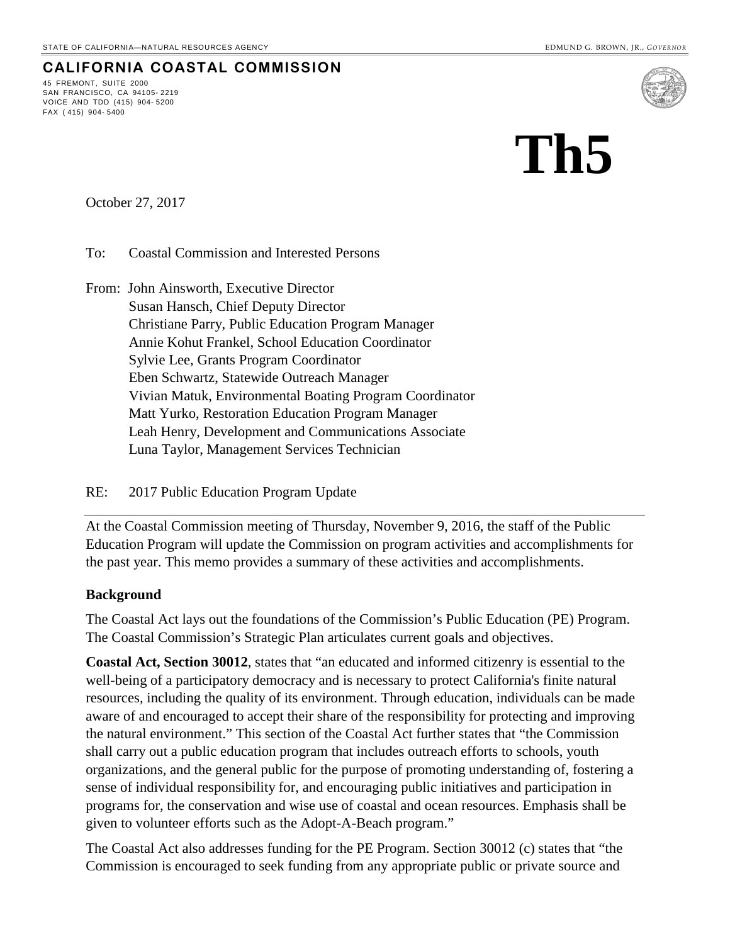# 45 FREMONT, SUITE 2000

**CALIFORNIA COASTAL COMMISSION**

SAN FRANCISCO, CA 94105- 2219 VOICE AND TDD (415) 904- 5200 FAX ( 415) 904- 5400



October 27, 2017

To: Coastal Commission and Interested Persons

From: John Ainsworth, Executive Director Susan Hansch, Chief Deputy Director Christiane Parry, Public Education Program Manager Annie Kohut Frankel, School Education Coordinator Sylvie Lee, Grants Program Coordinator Eben Schwartz, Statewide Outreach Manager Vivian Matuk, Environmental Boating Program Coordinator Matt Yurko, Restoration Education Program Manager Leah Henry, Development and Communications Associate Luna Taylor, Management Services Technician

#### RE: 2017 Public Education Program Update

At the Coastal Commission meeting of Thursday, November 9, 2016, the staff of the Public Education Program will update the Commission on program activities and accomplishments for the past year. This memo provides a summary of these activities and accomplishments.

#### **Background**

The Coastal Act lays out the foundations of the Commission's Public Education (PE) Program. The Coastal Commission's Strategic Plan articulates current goals and objectives.

**Coastal Act, Section 30012**, states that "an educated and informed citizenry is essential to the well-being of a participatory democracy and is necessary to protect California's finite natural resources, including the quality of its environment. Through education, individuals can be made aware of and encouraged to accept their share of the responsibility for protecting and improving the natural environment." This section of the Coastal Act further states that "the Commission shall carry out a public education program that includes outreach efforts to schools, youth organizations, and the general public for the purpose of promoting understanding of, fostering a sense of individual responsibility for, and encouraging public initiatives and participation in programs for, the conservation and wise use of coastal and ocean resources. Emphasis shall be given to volunteer efforts such as the Adopt-A-Beach program."

The Coastal Act also addresses funding for the PE Program. Section 30012 (c) states that "the Commission is encouraged to seek funding from any appropriate public or private source and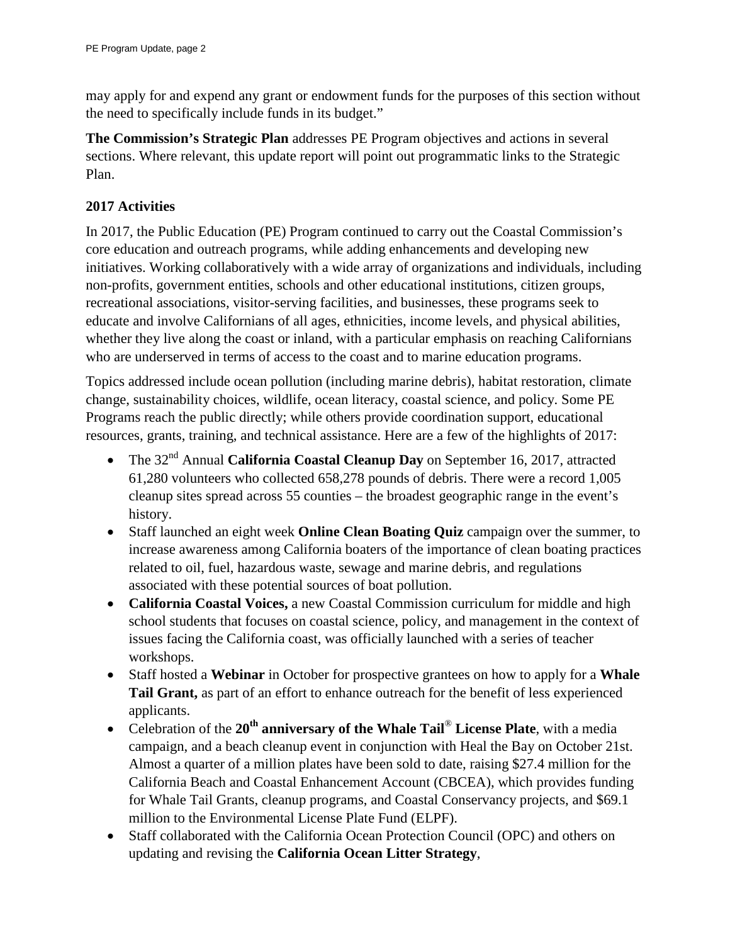may apply for and expend any grant or endowment funds for the purposes of this section without the need to specifically include funds in its budget."

**The Commission's Strategic Plan** addresses PE Program objectives and actions in several sections. Where relevant, this update report will point out programmatic links to the Strategic Plan.

#### **2017 Activities**

In 2017, the Public Education (PE) Program continued to carry out the Coastal Commission's core education and outreach programs, while adding enhancements and developing new initiatives. Working collaboratively with a wide array of organizations and individuals, including non-profits, government entities, schools and other educational institutions, citizen groups, recreational associations, visitor-serving facilities, and businesses, these programs seek to educate and involve Californians of all ages, ethnicities, income levels, and physical abilities, whether they live along the coast or inland, with a particular emphasis on reaching Californians who are underserved in terms of access to the coast and to marine education programs.

Topics addressed include ocean pollution (including marine debris), habitat restoration, climate change, sustainability choices, wildlife, ocean literacy, coastal science, and policy. Some PE Programs reach the public directly; while others provide coordination support, educational resources, grants, training, and technical assistance. Here are a few of the highlights of 2017:

- The 32nd Annual **California Coastal Cleanup Day** on September 16, 2017, attracted 61,280 volunteers who collected 658,278 pounds of debris. There were a record 1,005 cleanup sites spread across 55 counties – the broadest geographic range in the event's history.
- Staff launched an eight week **Online Clean Boating Quiz** campaign over the summer, to increase awareness among California boaters of the importance of clean boating practices related to oil, fuel, hazardous waste, sewage and marine debris, and regulations associated with these potential sources of boat pollution.
- **California Coastal Voices,** a new Coastal Commission curriculum for middle and high school students that focuses on coastal science, policy, and management in the context of issues facing the California coast, was officially launched with a series of teacher workshops.
- Staff hosted a **Webinar** in October for prospective grantees on how to apply for a **Whale Tail Grant,** as part of an effort to enhance outreach for the benefit of less experienced applicants.
- Celebration of the **20th anniversary of the Whale Tail**® **License Plate**, with a media campaign, and a beach cleanup event in conjunction with Heal the Bay on October 21st. Almost a quarter of a million plates have been sold to date, raising \$27.4 million for the California Beach and Coastal Enhancement Account (CBCEA), which provides funding for Whale Tail Grants, cleanup programs, and Coastal Conservancy projects, and \$69.1 million to the Environmental License Plate Fund (ELPF).
- Staff collaborated with the California Ocean Protection Council (OPC) and others on updating and revising the **California Ocean Litter Strategy**,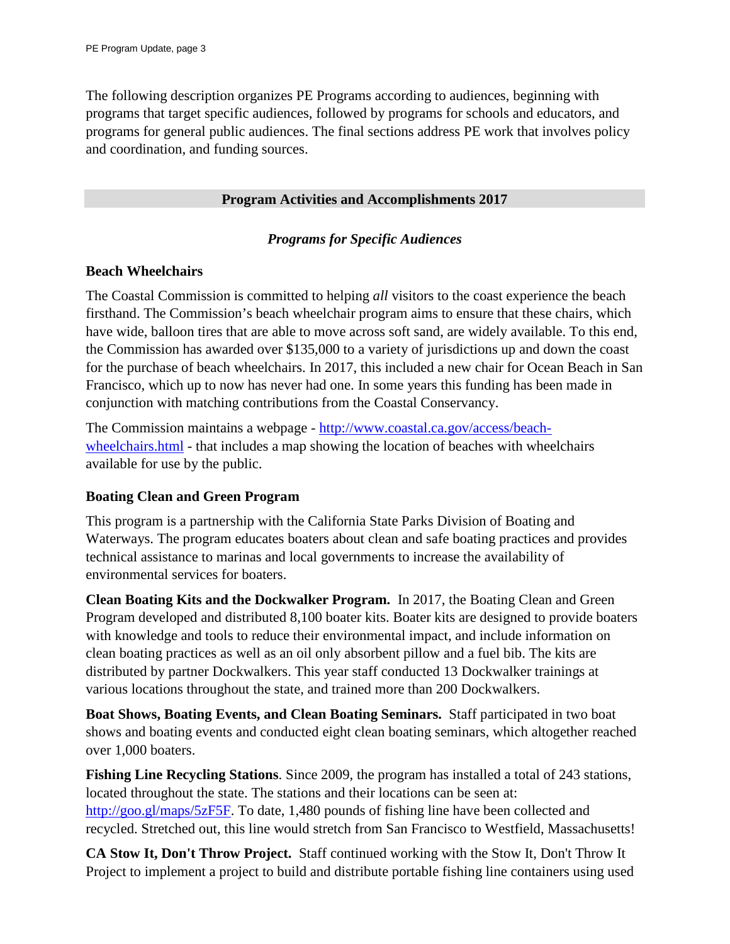The following description organizes PE Programs according to audiences, beginning with programs that target specific audiences, followed by programs for schools and educators, and programs for general public audiences. The final sections address PE work that involves policy and coordination, and funding sources.

#### **Program Activities and Accomplishments 2017**

#### *Programs for Specific Audiences*

#### **Beach Wheelchairs**

The Coastal Commission is committed to helping *all* visitors to the coast experience the beach firsthand. The Commission's beach wheelchair program aims to ensure that these chairs, which have wide, balloon tires that are able to move across soft sand, are widely available. To this end, the Commission has awarded over \$135,000 to a variety of jurisdictions up and down the coast for the purchase of beach wheelchairs. In 2017, this included a new chair for Ocean Beach in San Francisco, which up to now has never had one. In some years this funding has been made in conjunction with matching contributions from the Coastal Conservancy.

The Commission maintains a webpage - [http://www.coastal.ca.gov/access/beach](http://www.coastal.ca.gov/access/beach-wheelchairs.html)[wheelchairs.html](http://www.coastal.ca.gov/access/beach-wheelchairs.html) - that includes a map showing the location of beaches with wheelchairs available for use by the public.

# **Boating Clean and Green Program**

This program is a partnership with the California State Parks Division of Boating and Waterways. The program educates boaters about clean and safe boating practices and provides technical assistance to marinas and local governments to increase the availability of environmental services for boaters.

**Clean Boating Kits and the Dockwalker Program.** In 2017, the Boating Clean and Green Program developed and distributed 8,100 boater kits. Boater kits are designed to provide boaters with knowledge and tools to reduce their environmental impact, and include information on clean boating practices as well as an oil only absorbent pillow and a fuel bib. The kits are distributed by partner Dockwalkers. This year staff conducted 13 Dockwalker trainings at various locations throughout the state, and trained more than 200 Dockwalkers.

**Boat Shows, Boating Events, and Clean Boating Seminars.** Staff participated in two boat shows and boating events and conducted eight clean boating seminars, which altogether reached over 1,000 boaters.

**Fishing Line Recycling Stations**. Since 2009, the program has installed a total of 243 stations, located throughout the state. The stations and their locations can be seen at: [http://goo.gl/maps/5zF5F.](http://goo.gl/maps/5zF5F) To date, 1,480 pounds of fishing line have been collected and recycled. Stretched out, this line would stretch from San Francisco to Westfield, Massachusetts!

**CA Stow It, Don't Throw Project.** Staff continued working with the Stow It, Don't Throw It Project to implement a project to build and distribute portable fishing line containers using used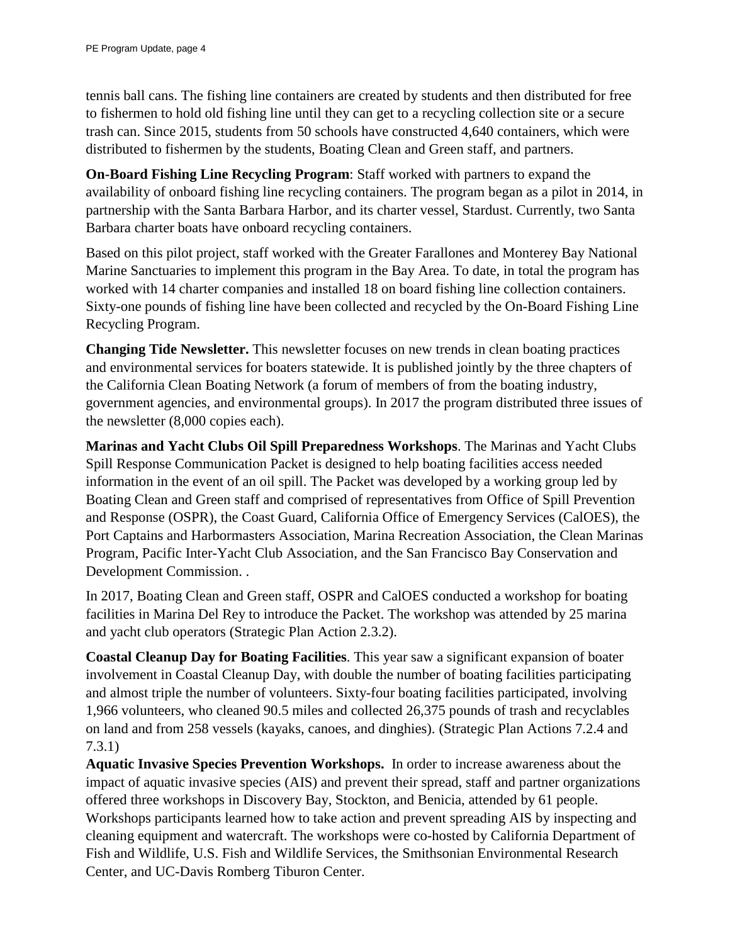tennis ball cans. The fishing line containers are created by students and then distributed for free to fishermen to hold old fishing line until they can get to a recycling collection site or a secure trash can. Since 2015, students from 50 schools have constructed 4,640 containers, which were distributed to fishermen by the students, Boating Clean and Green staff, and partners.

**On-Board Fishing Line Recycling Program**: Staff worked with partners to expand the availability of onboard fishing line recycling containers. The program began as a pilot in 2014, in partnership with the Santa Barbara Harbor, and its charter vessel, Stardust. Currently, two Santa Barbara charter boats have onboard recycling containers.

Based on this pilot project, staff worked with the Greater Farallones and Monterey Bay National Marine Sanctuaries to implement this program in the Bay Area. To date, in total the program has worked with 14 charter companies and installed 18 on board fishing line collection containers. Sixty-one pounds of fishing line have been collected and recycled by the On-Board Fishing Line Recycling Program.

**Changing Tide Newsletter.** This newsletter focuses on new trends in clean boating practices and environmental services for boaters statewide. It is published jointly by the three chapters of the California Clean Boating Network (a forum of members of from the boating industry, government agencies, and environmental groups). In 2017 the program distributed three issues of the newsletter (8,000 copies each).

**Marinas and Yacht Clubs Oil Spill Preparedness Workshops**. The Marinas and Yacht Clubs Spill Response Communication Packet is designed to help boating facilities access needed information in the event of an oil spill. The Packet was developed by a working group led by Boating Clean and Green staff and comprised of representatives from Office of Spill Prevention and Response (OSPR), the Coast Guard, California Office of Emergency Services (CalOES), the Port Captains and Harbormasters Association, Marina Recreation Association, the Clean Marinas Program, Pacific Inter-Yacht Club Association, and the San Francisco Bay Conservation and Development Commission. .

In 2017, Boating Clean and Green staff, OSPR and CalOES conducted a workshop for boating facilities in Marina Del Rey to introduce the Packet. The workshop was attended by 25 marina and yacht club operators (Strategic Plan Action 2.3.2).

**Coastal Cleanup Day for Boating Facilities**. This year saw a significant expansion of boater involvement in Coastal Cleanup Day, with double the number of boating facilities participating and almost triple the number of volunteers. Sixty-four boating facilities participated, involving 1,966 volunteers, who cleaned 90.5 miles and collected 26,375 pounds of trash and recyclables on land and from 258 vessels (kayaks, canoes, and dinghies). (Strategic Plan Actions 7.2.4 and 7.3.1)

**Aquatic Invasive Species Prevention Workshops.** In order to increase awareness about the impact of aquatic invasive species (AIS) and prevent their spread, staff and partner organizations offered three workshops in Discovery Bay, Stockton, and Benicia, attended by 61 people. Workshops participants learned how to take action and prevent spreading AIS by inspecting and cleaning equipment and watercraft. The workshops were co-hosted by California Department of Fish and Wildlife, U.S. Fish and Wildlife Services, the Smithsonian Environmental Research Center, and UC-Davis Romberg Tiburon Center.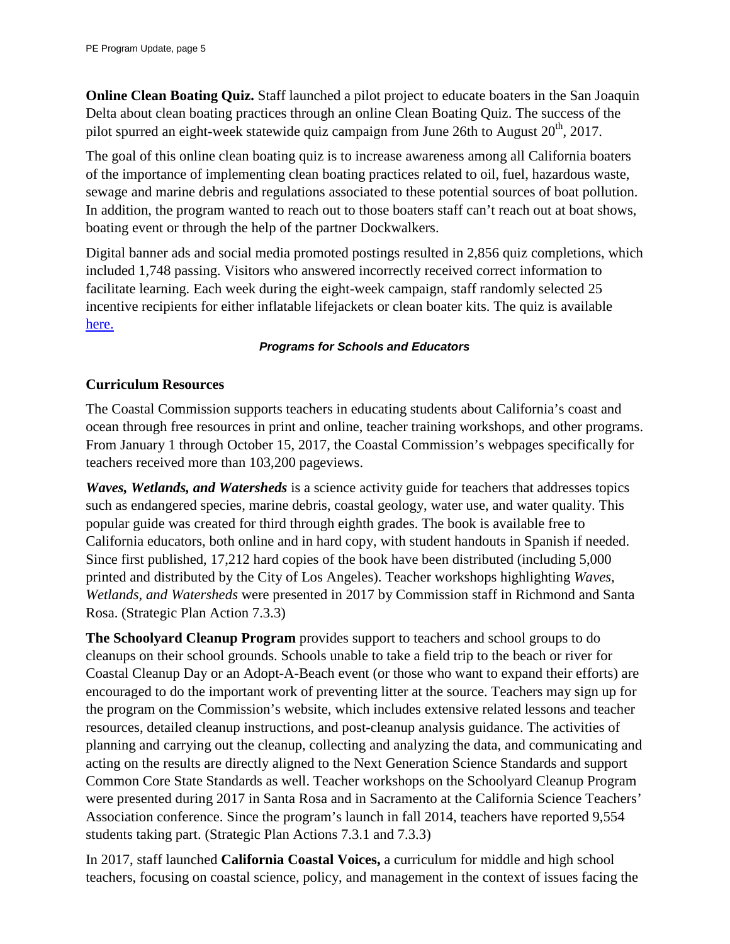**Online Clean Boating Quiz.** Staff launched a pilot project to educate boaters in the San Joaquin Delta about clean boating practices through an online Clean Boating Quiz. The success of the pilot spurred an eight-week statewide quiz campaign from June 26th to August  $20<sup>th</sup>$ , 2017.

The goal of this online clean boating quiz is to increase awareness among all California boaters of the importance of implementing clean boating practices related to oil, fuel, hazardous waste, sewage and marine debris and regulations associated to these potential sources of boat pollution. In addition, the program wanted to reach out to those boaters staff can't reach out at boat shows, boating event or through the help of the partner Dockwalkers.

Digital banner ads and social media promoted postings resulted in 2,856 quiz completions, which included 1,748 passing. Visitors who answered incorrectly received correct information to facilitate learning. Each week during the eight-week campaign, staff randomly selected 25 incentive recipients for either inflatable lifejackets or clean boater kits. The quiz is available [here.](http://boatingcleanandgreenquiz.articulate-online.com/p/5674657422/DocumentViewRouter.ashx?Cust=56746&DocumentID=d167bf0b-5ffe-469f-aa30-f362ebee1340&Popped=True&InitialPage=/story_html5.html&v=1&)

#### *Programs for Schools and Educators*

#### **Curriculum Resources**

The Coastal Commission supports teachers in educating students about California's coast and ocean through free resources in print and online, teacher training workshops, and other programs. From January 1 through October 15, 2017, the Coastal Commission's webpages specifically for teachers received more than 103,200 pageviews.

*Waves, Wetlands, and Watersheds* is a science activity guide for teachers that addresses topics such as endangered species, marine debris, coastal geology, water use, and water quality. This popular guide was created for third through eighth grades. The book is available free to California educators, both online and in hard copy, with student handouts in Spanish if needed. Since first published, 17,212 hard copies of the book have been distributed (including 5,000 printed and distributed by the City of Los Angeles). Teacher workshops highlighting *Waves, Wetlands, and Watersheds* were presented in 2017 by Commission staff in Richmond and Santa Rosa. (Strategic Plan Action 7.3.3)

**The Schoolyard Cleanup Program** provides support to teachers and school groups to do cleanups on their school grounds. Schools unable to take a field trip to the beach or river for Coastal Cleanup Day or an Adopt-A-Beach event (or those who want to expand their efforts) are encouraged to do the important work of preventing litter at the source. Teachers may sign up for the program on the Commission's website, which includes extensive related lessons and teacher resources, detailed cleanup instructions, and post-cleanup analysis guidance. The activities of planning and carrying out the cleanup, collecting and analyzing the data, and communicating and acting on the results are directly aligned to the Next Generation Science Standards and support Common Core State Standards as well. Teacher workshops on the Schoolyard Cleanup Program were presented during 2017 in Santa Rosa and in Sacramento at the California Science Teachers' Association conference. Since the program's launch in fall 2014, teachers have reported 9,554 students taking part. (Strategic Plan Actions 7.3.1 and 7.3.3)

In 2017, staff launched **California Coastal Voices,** a curriculum for middle and high school teachers, focusing on coastal science, policy, and management in the context of issues facing the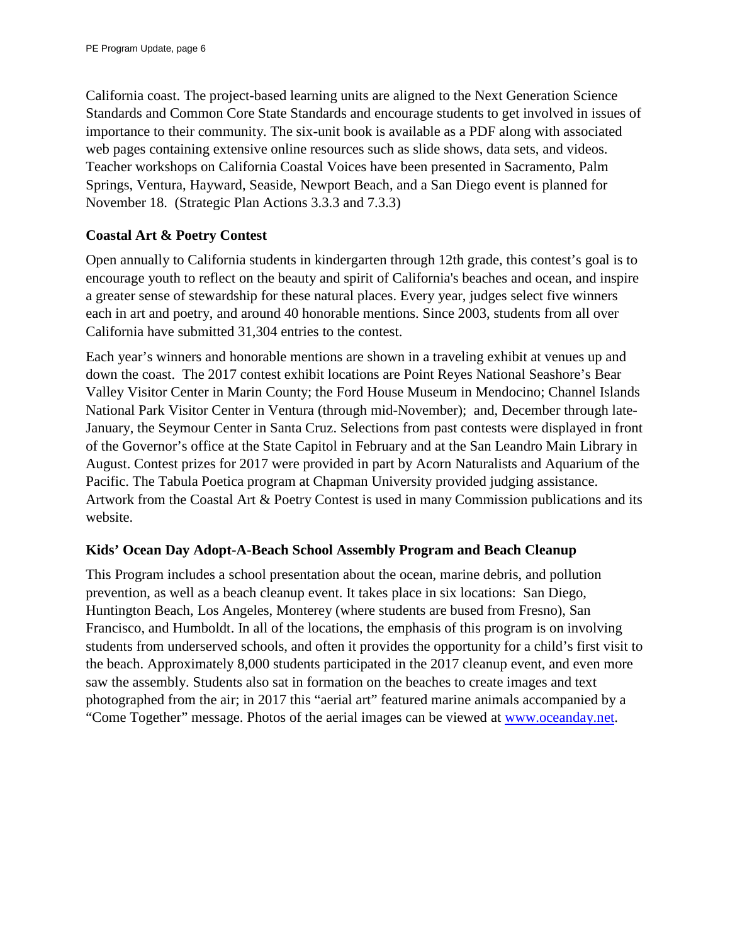California coast. The project-based learning units are aligned to the Next Generation Science Standards and Common Core State Standards and encourage students to get involved in issues of importance to their community. The six-unit book is available as a PDF along with associated web pages containing extensive online resources such as slide shows, data sets, and videos. Teacher workshops on California Coastal Voices have been presented in Sacramento, Palm Springs, Ventura, Hayward, Seaside, Newport Beach, and a San Diego event is planned for November 18. (Strategic Plan Actions 3.3.3 and 7.3.3)

#### **Coastal Art & Poetry Contest**

Open annually to California students in kindergarten through 12th grade, this contest's goal is to encourage youth to reflect on the beauty and spirit of California's beaches and ocean, and inspire a greater sense of stewardship for these natural places. Every year, judges select five winners each in art and poetry, and around 40 honorable mentions. Since 2003, students from all over California have submitted 31,304 entries to the contest.

Each year's winners and honorable mentions are shown in a traveling exhibit at venues up and down the coast. The 2017 contest exhibit locations are Point Reyes National Seashore's Bear Valley Visitor Center in Marin County; the Ford House Museum in Mendocino; Channel Islands National Park Visitor Center in Ventura (through mid-November); and, December through late-January, the Seymour Center in Santa Cruz. Selections from past contests were displayed in front of the Governor's office at the State Capitol in February and at the San Leandro Main Library in August. Contest prizes for 2017 were provided in part by Acorn Naturalists and Aquarium of the Pacific. The Tabula Poetica program at Chapman University provided judging assistance. Artwork from the Coastal Art & Poetry Contest is used in many Commission publications and its website.

#### **Kids' Ocean Day Adopt-A-Beach School Assembly Program and Beach Cleanup**

This Program includes a school presentation about the ocean, marine debris, and pollution prevention, as well as a beach cleanup event. It takes place in six locations: San Diego, Huntington Beach, Los Angeles, Monterey (where students are bused from Fresno), San Francisco, and Humboldt. In all of the locations, the emphasis of this program is on involving students from underserved schools, and often it provides the opportunity for a child's first visit to the beach. Approximately 8,000 students participated in the 2017 cleanup event, and even more saw the assembly. Students also sat in formation on the beaches to create images and text photographed from the air; in 2017 this "aerial art" featured marine animals accompanied by a "Come Together" message. Photos of the aerial images can be viewed at [www.oceanday.net.](http://www.oceanday.net/)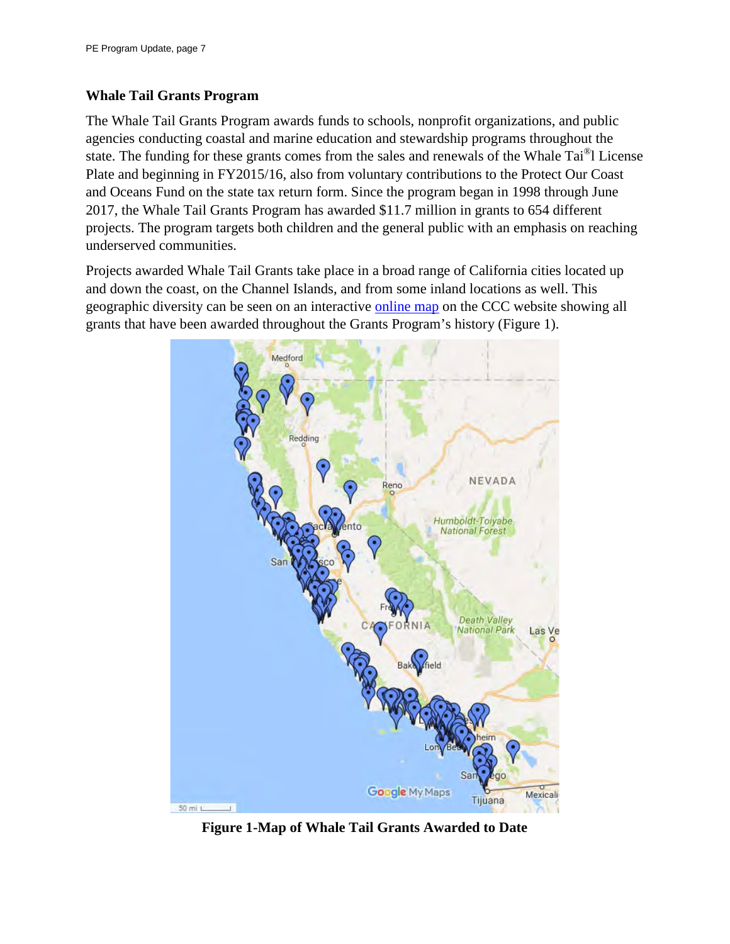#### **Whale Tail Grants Program**

The Whale Tail Grants Program awards funds to schools, nonprofit organizations, and public agencies conducting coastal and marine education and stewardship programs throughout the state. The funding for these grants comes from the sales and renewals of the Whale Tai®l License Plate and beginning in FY2015/16, also from voluntary contributions to the Protect Our Coast and Oceans Fund on the state tax return form. Since the program began in 1998 through June 2017, the Whale Tail Grants Program has awarded \$11.7 million in grants to 654 different projects. The program targets both children and the general public with an emphasis on reaching underserved communities.

Projects awarded Whale Tail Grants take place in a broad range of California cities located up and down the coast, on the Channel Islands, and from some inland locations as well. This geographic diversity can be seen on an interactive [online map](https://www.google.com/maps/d/viewer?mid=1ScEAsspJq2Mf2Wr1UHylrxWOhxg&usp=sharing) on the CCC website showing all grants that have been awarded throughout the Grants Program's history (Figure 1).



**Figure 1-Map of Whale Tail Grants Awarded to Date**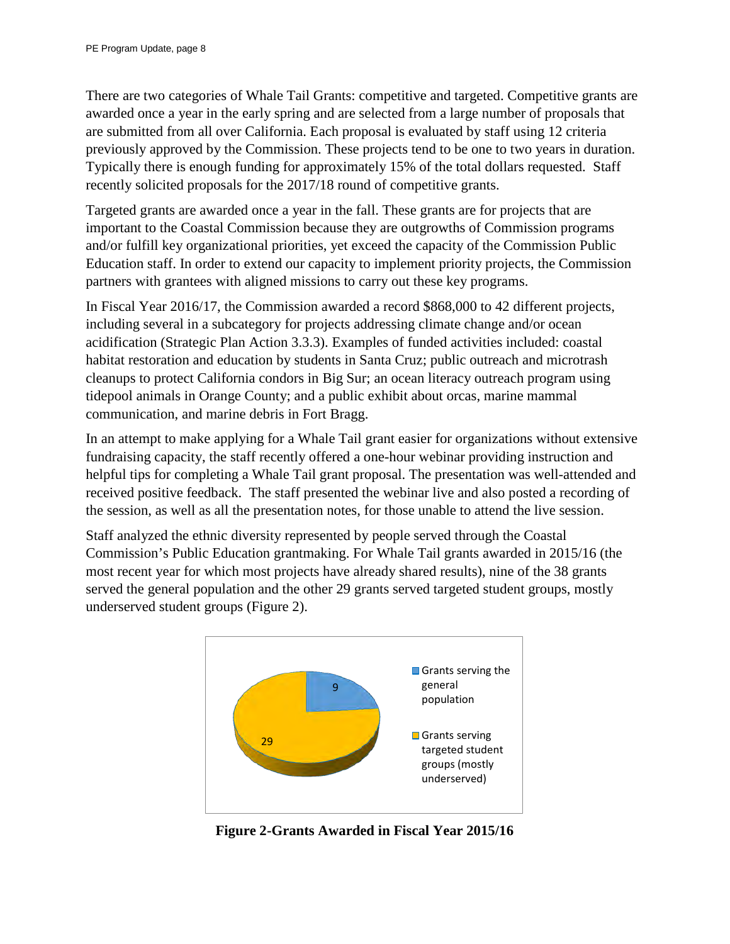There are two categories of Whale Tail Grants: competitive and targeted. Competitive grants are awarded once a year in the early spring and are selected from a large number of proposals that are submitted from all over California. Each proposal is evaluated by staff using 12 criteria previously approved by the Commission. These projects tend to be one to two years in duration. Typically there is enough funding for approximately 15% of the total dollars requested. Staff recently solicited proposals for the 2017/18 round of competitive grants.

Targeted grants are awarded once a year in the fall. These grants are for projects that are important to the Coastal Commission because they are outgrowths of Commission programs and/or fulfill key organizational priorities, yet exceed the capacity of the Commission Public Education staff. In order to extend our capacity to implement priority projects, the Commission partners with grantees with aligned missions to carry out these key programs.

In Fiscal Year 2016/17, the Commission awarded a record \$868,000 to 42 different projects, including several in a subcategory for projects addressing climate change and/or ocean acidification (Strategic Plan Action 3.3.3). Examples of funded activities included: coastal habitat restoration and education by students in Santa Cruz; public outreach and microtrash cleanups to protect California condors in Big Sur; an ocean literacy outreach program using tidepool animals in Orange County; and a public exhibit about orcas, marine mammal communication, and marine debris in Fort Bragg.

In an attempt to make applying for a Whale Tail grant easier for organizations without extensive fundraising capacity, the staff recently offered a one-hour webinar providing instruction and helpful tips for completing a Whale Tail grant proposal. The presentation was well-attended and received positive feedback. The staff presented the webinar live and also posted a recording of the session, as well as all the presentation notes, for those unable to attend the live session.

Staff analyzed the ethnic diversity represented by people served through the Coastal Commission's Public Education grantmaking. For Whale Tail grants awarded in 2015/16 (the most recent year for which most projects have already shared results), nine of the 38 grants served the general population and the other 29 grants served targeted student groups, mostly underserved student groups (Figure 2).



**Figure 2-Grants Awarded in Fiscal Year 2015/16**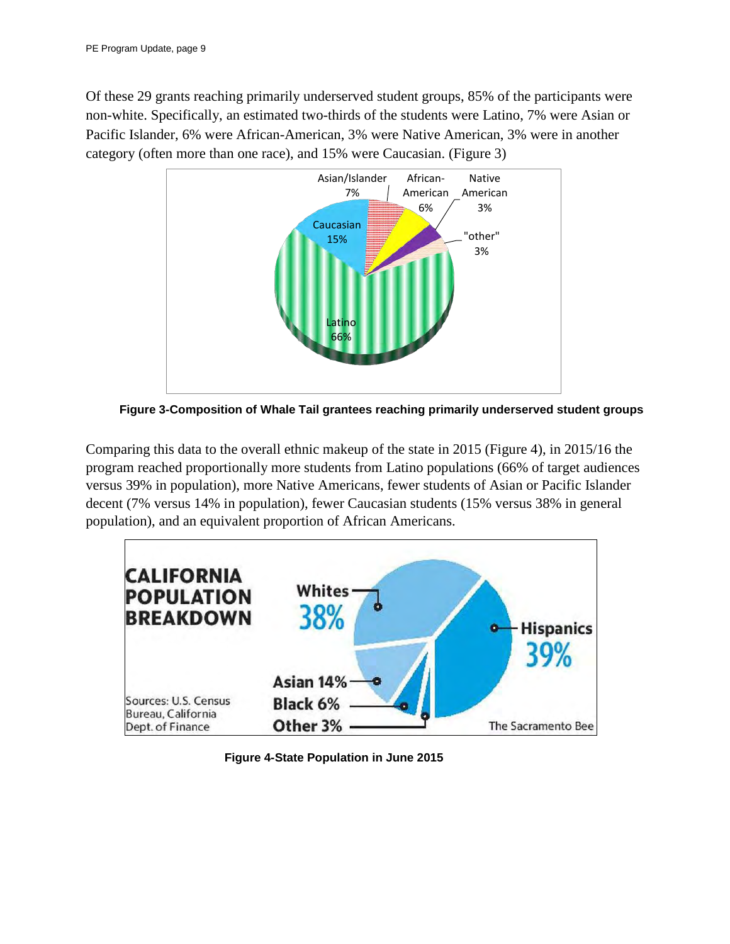Of these 29 grants reaching primarily underserved student groups, 85% of the participants were non-white. Specifically, an estimated two-thirds of the students were Latino, 7% were Asian or Pacific Islander, 6% were African-American, 3% were Native American, 3% were in another category (often more than one race), and 15% were Caucasian. (Figure 3)



**Figure 3-Composition of Whale Tail grantees reaching primarily underserved student groups**

Comparing this data to the overall ethnic makeup of the state in 2015 (Figure 4), in 2015/16 the program reached proportionally more students from Latino populations (66% of target audiences versus 39% in population), more Native Americans, fewer students of Asian or Pacific Islander decent (7% versus 14% in population), fewer Caucasian students (15% versus 38% in general population), and an equivalent proportion of African Americans.



**Figure 4-State Population in June 2015**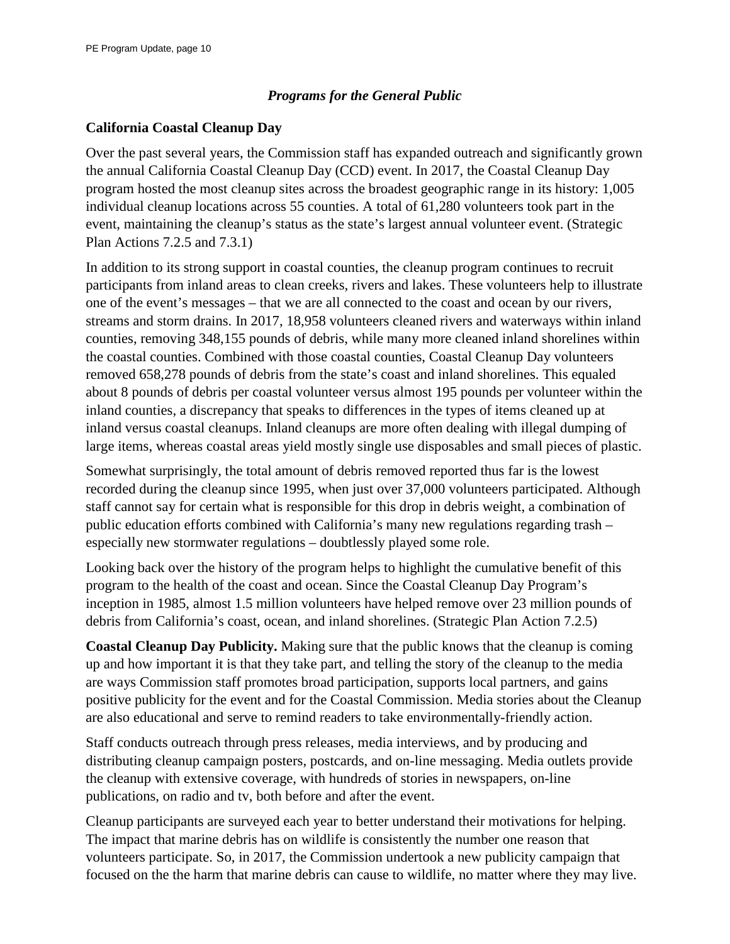#### *Programs for the General Public*

#### **California Coastal Cleanup Day**

Over the past several years, the Commission staff has expanded outreach and significantly grown the annual California Coastal Cleanup Day (CCD) event. In 2017, the Coastal Cleanup Day program hosted the most cleanup sites across the broadest geographic range in its history: 1,005 individual cleanup locations across 55 counties. A total of 61,280 volunteers took part in the event, maintaining the cleanup's status as the state's largest annual volunteer event. (Strategic Plan Actions 7.2.5 and 7.3.1)

In addition to its strong support in coastal counties, the cleanup program continues to recruit participants from inland areas to clean creeks, rivers and lakes. These volunteers help to illustrate one of the event's messages – that we are all connected to the coast and ocean by our rivers, streams and storm drains. In 2017, 18,958 volunteers cleaned rivers and waterways within inland counties, removing 348,155 pounds of debris, while many more cleaned inland shorelines within the coastal counties. Combined with those coastal counties, Coastal Cleanup Day volunteers removed 658,278 pounds of debris from the state's coast and inland shorelines. This equaled about 8 pounds of debris per coastal volunteer versus almost 195 pounds per volunteer within the inland counties, a discrepancy that speaks to differences in the types of items cleaned up at inland versus coastal cleanups. Inland cleanups are more often dealing with illegal dumping of large items, whereas coastal areas yield mostly single use disposables and small pieces of plastic.

Somewhat surprisingly, the total amount of debris removed reported thus far is the lowest recorded during the cleanup since 1995, when just over 37,000 volunteers participated. Although staff cannot say for certain what is responsible for this drop in debris weight, a combination of public education efforts combined with California's many new regulations regarding trash – especially new stormwater regulations – doubtlessly played some role.

Looking back over the history of the program helps to highlight the cumulative benefit of this program to the health of the coast and ocean. Since the Coastal Cleanup Day Program's inception in 1985, almost 1.5 million volunteers have helped remove over 23 million pounds of debris from California's coast, ocean, and inland shorelines. (Strategic Plan Action 7.2.5)

**Coastal Cleanup Day Publicity.** Making sure that the public knows that the cleanup is coming up and how important it is that they take part, and telling the story of the cleanup to the media are ways Commission staff promotes broad participation, supports local partners, and gains positive publicity for the event and for the Coastal Commission. Media stories about the Cleanup are also educational and serve to remind readers to take environmentally-friendly action.

Staff conducts outreach through press releases, media interviews, and by producing and distributing cleanup campaign posters, postcards, and on-line messaging. Media outlets provide the cleanup with extensive coverage, with hundreds of stories in newspapers, on-line publications, on radio and tv, both before and after the event.

Cleanup participants are surveyed each year to better understand their motivations for helping. The impact that marine debris has on wildlife is consistently the number one reason that volunteers participate. So, in 2017, the Commission undertook a new publicity campaign that focused on the the harm that marine debris can cause to wildlife, no matter where they may live.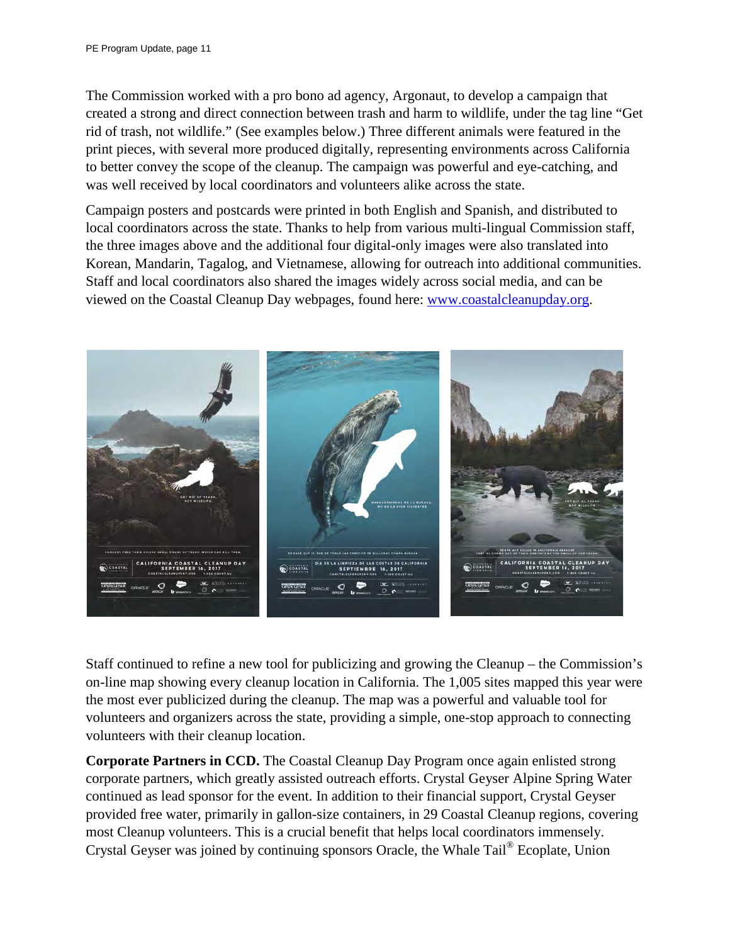The Commission worked with a pro bono ad agency, Argonaut, to develop a campaign that created a strong and direct connection between trash and harm to wildlife, under the tag line "Get rid of trash, not wildlife." (See examples below.) Three different animals were featured in the print pieces, with several more produced digitally, representing environments across California to better convey the scope of the cleanup. The campaign was powerful and eye-catching, and was well received by local coordinators and volunteers alike across the state.

Campaign posters and postcards were printed in both English and Spanish, and distributed to local coordinators across the state. Thanks to help from various multi-lingual Commission staff, the three images above and the additional four digital-only images were also translated into Korean, Mandarin, Tagalog, and Vietnamese, allowing for outreach into additional communities. Staff and local coordinators also shared the images widely across social media, and can be viewed on the Coastal Cleanup Day webpages, found here: [www.coastalcleanupday.org.](http://www.coastalcleanupday.org/)



Staff continued to refine a new tool for publicizing and growing the Cleanup – the Commission's on-line map showing every cleanup location in California. The 1,005 sites mapped this year were the most ever publicized during the cleanup. The map was a powerful and valuable tool for volunteers and organizers across the state, providing a simple, one-stop approach to connecting volunteers with their cleanup location.

**Corporate Partners in CCD.** The Coastal Cleanup Day Program once again enlisted strong corporate partners, which greatly assisted outreach efforts. Crystal Geyser Alpine Spring Water continued as lead sponsor for the event. In addition to their financial support, Crystal Geyser provided free water, primarily in gallon-size containers, in 29 Coastal Cleanup regions, covering most Cleanup volunteers. This is a crucial benefit that helps local coordinators immensely. Crystal Geyser was joined by continuing sponsors Oracle, the Whale Tail® Ecoplate, Union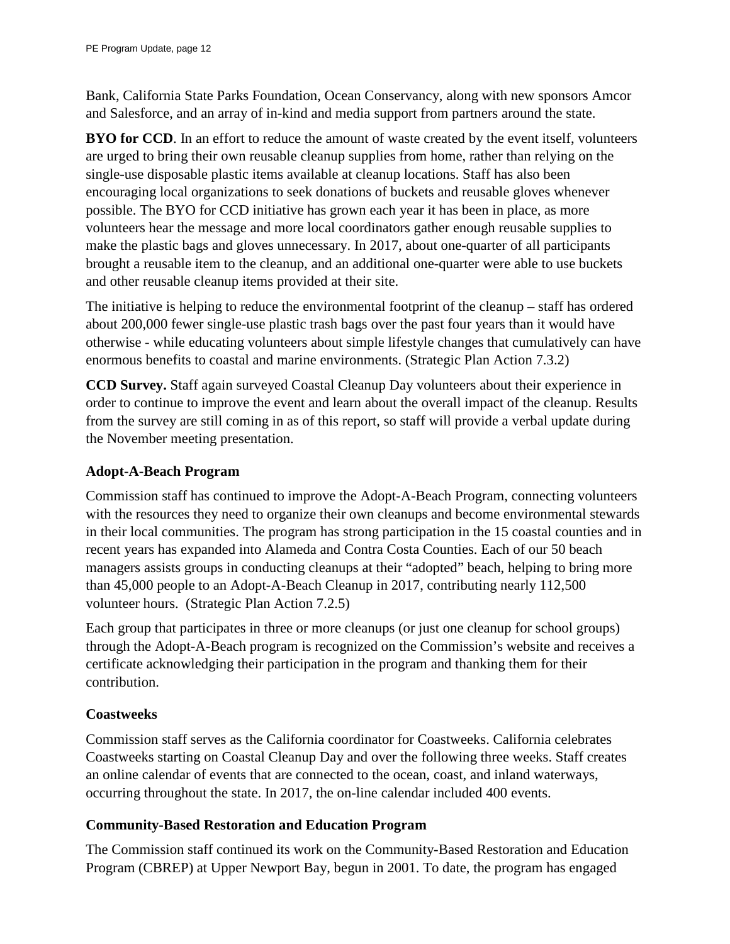Bank, California State Parks Foundation, Ocean Conservancy, along with new sponsors Amcor and Salesforce, and an array of in-kind and media support from partners around the state.

**BYO for CCD**. In an effort to reduce the amount of waste created by the event itself, volunteers are urged to bring their own reusable cleanup supplies from home, rather than relying on the single-use disposable plastic items available at cleanup locations. Staff has also been encouraging local organizations to seek donations of buckets and reusable gloves whenever possible. The BYO for CCD initiative has grown each year it has been in place, as more volunteers hear the message and more local coordinators gather enough reusable supplies to make the plastic bags and gloves unnecessary. In 2017, about one-quarter of all participants brought a reusable item to the cleanup, and an additional one-quarter were able to use buckets and other reusable cleanup items provided at their site.

The initiative is helping to reduce the environmental footprint of the cleanup – staff has ordered about 200,000 fewer single-use plastic trash bags over the past four years than it would have otherwise - while educating volunteers about simple lifestyle changes that cumulatively can have enormous benefits to coastal and marine environments. (Strategic Plan Action 7.3.2)

**CCD Survey.** Staff again surveyed Coastal Cleanup Day volunteers about their experience in order to continue to improve the event and learn about the overall impact of the cleanup. Results from the survey are still coming in as of this report, so staff will provide a verbal update during the November meeting presentation.

# **Adopt-A-Beach Program**

Commission staff has continued to improve the Adopt-A-Beach Program, connecting volunteers with the resources they need to organize their own cleanups and become environmental stewards in their local communities. The program has strong participation in the 15 coastal counties and in recent years has expanded into Alameda and Contra Costa Counties. Each of our 50 beach managers assists groups in conducting cleanups at their "adopted" beach, helping to bring more than 45,000 people to an Adopt-A-Beach Cleanup in 2017, contributing nearly 112,500 volunteer hours. (Strategic Plan Action 7.2.5)

Each group that participates in three or more cleanups (or just one cleanup for school groups) through the Adopt-A-Beach program is recognized on the Commission's website and receives a certificate acknowledging their participation in the program and thanking them for their contribution.

# **Coastweeks**

Commission staff serves as the California coordinator for Coastweeks. California celebrates Coastweeks starting on Coastal Cleanup Day and over the following three weeks. Staff creates an online calendar of events that are connected to the ocean, coast, and inland waterways, occurring throughout the state. In 2017, the on-line calendar included 400 events.

#### **Community-Based Restoration and Education Program**

The Commission staff continued its work on the Community-Based Restoration and Education Program (CBREP) at Upper Newport Bay, begun in 2001. To date, the program has engaged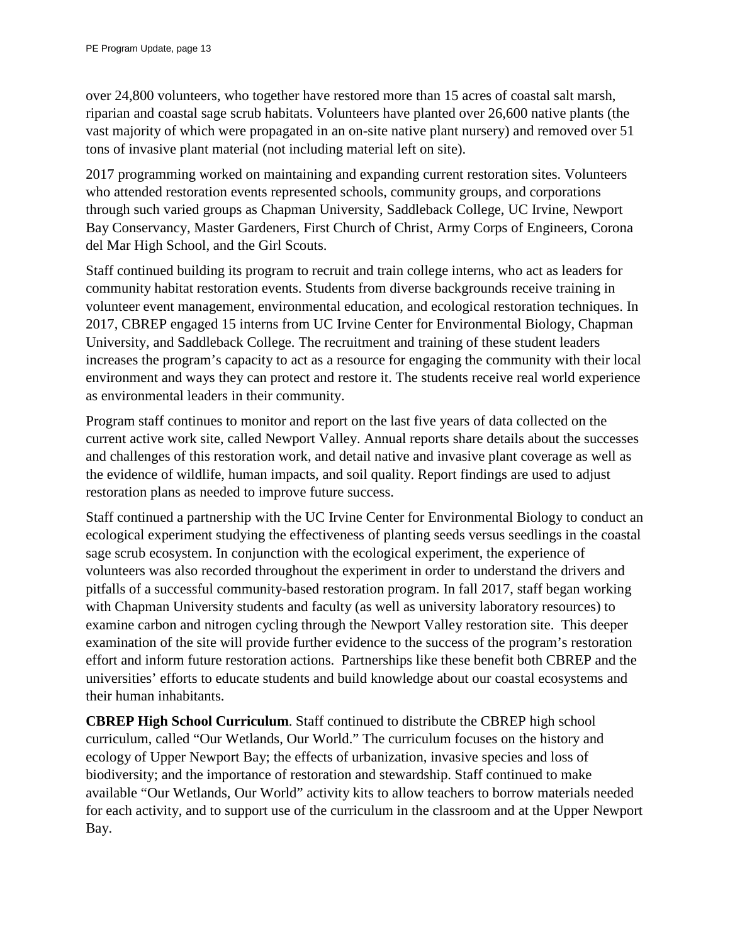over 24,800 volunteers, who together have restored more than 15 acres of coastal salt marsh, riparian and coastal sage scrub habitats. Volunteers have planted over 26,600 native plants (the vast majority of which were propagated in an on-site native plant nursery) and removed over 51 tons of invasive plant material (not including material left on site).

2017 programming worked on maintaining and expanding current restoration sites. Volunteers who attended restoration events represented schools, community groups, and corporations through such varied groups as Chapman University, Saddleback College, UC Irvine, Newport Bay Conservancy, Master Gardeners, First Church of Christ, Army Corps of Engineers, Corona del Mar High School, and the Girl Scouts.

Staff continued building its program to recruit and train college interns, who act as leaders for community habitat restoration events. Students from diverse backgrounds receive training in volunteer event management, environmental education, and ecological restoration techniques. In 2017, CBREP engaged 15 interns from UC Irvine Center for Environmental Biology, Chapman University, and Saddleback College. The recruitment and training of these student leaders increases the program's capacity to act as a resource for engaging the community with their local environment and ways they can protect and restore it. The students receive real world experience as environmental leaders in their community.

Program staff continues to monitor and report on the last five years of data collected on the current active work site, called Newport Valley. Annual reports share details about the successes and challenges of this restoration work, and detail native and invasive plant coverage as well as the evidence of wildlife, human impacts, and soil quality. Report findings are used to adjust restoration plans as needed to improve future success.

Staff continued a partnership with the UC Irvine Center for Environmental Biology to conduct an ecological experiment studying the effectiveness of planting seeds versus seedlings in the coastal sage scrub ecosystem. In conjunction with the ecological experiment, the experience of volunteers was also recorded throughout the experiment in order to understand the drivers and pitfalls of a successful community-based restoration program. In fall 2017, staff began working with Chapman University students and faculty (as well as university laboratory resources) to examine carbon and nitrogen cycling through the Newport Valley restoration site. This deeper examination of the site will provide further evidence to the success of the program's restoration effort and inform future restoration actions. Partnerships like these benefit both CBREP and the universities' efforts to educate students and build knowledge about our coastal ecosystems and their human inhabitants.

**CBREP High School Curriculum**. Staff continued to distribute the CBREP high school curriculum, called "Our Wetlands, Our World." The curriculum focuses on the history and ecology of Upper Newport Bay; the effects of urbanization, invasive species and loss of biodiversity; and the importance of restoration and stewardship. Staff continued to make available "Our Wetlands, Our World" activity kits to allow teachers to borrow materials needed for each activity, and to support use of the curriculum in the classroom and at the Upper Newport Bay.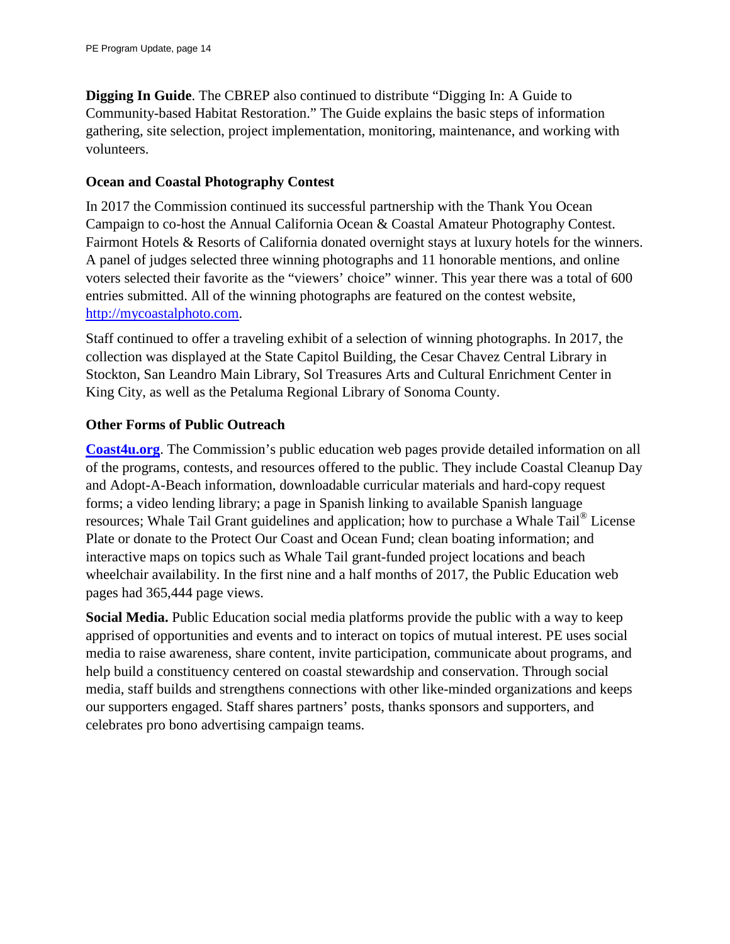**Digging In Guide**. The CBREP also continued to distribute "Digging In: A Guide to Community-based Habitat Restoration." The Guide explains the basic steps of information gathering, site selection, project implementation, monitoring, maintenance, and working with volunteers.

#### **Ocean and Coastal Photography Contest**

In 2017 the Commission continued its successful partnership with the Thank You Ocean Campaign to co-host the Annual California Ocean & Coastal Amateur Photography Contest. Fairmont Hotels & Resorts of California donated overnight stays at luxury hotels for the winners. A panel of judges selected three winning photographs and 11 honorable mentions, and online voters selected their favorite as the "viewers' choice" winner. This year there was a total of 600 entries submitted. All of the winning photographs are featured on the contest website, [http://mycoastalphoto.com.](http://mycoastalphoto.com/)

Staff continued to offer a traveling exhibit of a selection of winning photographs. In 2017, the collection was displayed at the State Capitol Building, the Cesar Chavez Central Library in Stockton, San Leandro Main Library, Sol Treasures Arts and Cultural Enrichment Center in King City, as well as the Petaluma Regional Library of Sonoma County.

#### **Other Forms of Public Outreach**

**[Coast4u.org](http://coast4u.org/)**. The Commission's public education web pages provide detailed information on all of the programs, contests, and resources offered to the public. They include Coastal Cleanup Day and Adopt-A-Beach information, downloadable curricular materials and hard-copy request forms; a video lending library; a page in Spanish linking to available Spanish language resources; Whale Tail Grant guidelines and application; how to purchase a Whale Tail® License Plate or donate to the Protect Our Coast and Ocean Fund; clean boating information; and interactive maps on topics such as Whale Tail grant-funded project locations and beach wheelchair availability. In the first nine and a half months of 2017, the Public Education web pages had 365,444 page views.

**Social Media.** Public Education social media platforms provide the public with a way to keep apprised of opportunities and events and to interact on topics of mutual interest. PE uses social media to raise awareness, share content, invite participation, communicate about programs, and help build a constituency centered on coastal stewardship and conservation. Through social media, staff builds and strengthens connections with other like-minded organizations and keeps our supporters engaged. Staff shares partners' posts, thanks sponsors and supporters, and celebrates pro bono advertising campaign teams.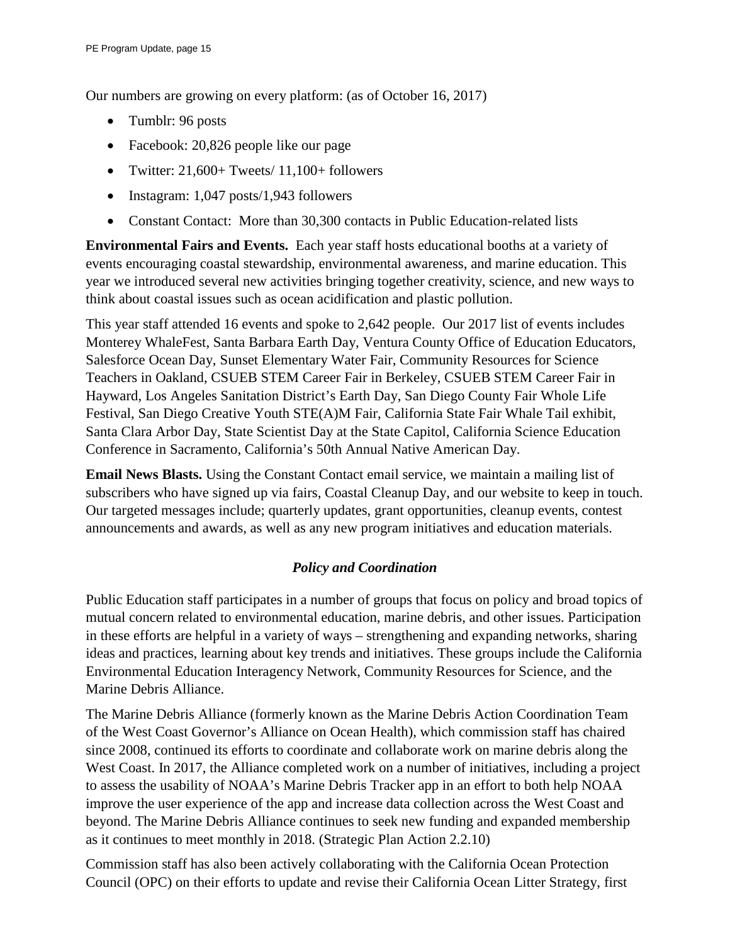Our numbers are growing on every platform: (as of October 16, 2017)

- Tumblr: 96 posts
- Facebook: 20,826 people like our page
- Twitter:  $21,600+$  Tweets/  $11,100+$  followers
- Instagram: 1,047 posts/1,943 followers
- Constant Contact: More than 30,300 contacts in Public Education-related lists

**Environmental Fairs and Events.** Each year staff hosts educational booths at a variety of events encouraging coastal stewardship, environmental awareness, and marine education. This year we introduced several new activities bringing together creativity, science, and new ways to think about coastal issues such as ocean acidification and plastic pollution.

This year staff attended 16 events and spoke to 2,642 people. Our 2017 list of events includes Monterey WhaleFest, Santa Barbara Earth Day, Ventura County Office of Education Educators, Salesforce Ocean Day, Sunset Elementary Water Fair, Community Resources for Science Teachers in Oakland, CSUEB STEM Career Fair in Berkeley, CSUEB STEM Career Fair in Hayward, Los Angeles Sanitation District's Earth Day, San Diego County Fair Whole Life Festival, San Diego Creative Youth STE(A)M Fair, California State Fair Whale Tail exhibit, Santa Clara Arbor Day, State Scientist Day at the State Capitol, California Science Education Conference in Sacramento, California's 50th Annual Native American Day.

**Email News Blasts.** Using the Constant Contact email service, we maintain a mailing list of subscribers who have signed up via fairs, Coastal Cleanup Day, and our website to keep in touch. Our targeted messages include; quarterly updates, grant opportunities, cleanup events, contest announcements and awards, as well as any new program initiatives and education materials.

# *Policy and Coordination*

Public Education staff participates in a number of groups that focus on policy and broad topics of mutual concern related to environmental education, marine debris, and other issues. Participation in these efforts are helpful in a variety of ways – strengthening and expanding networks, sharing ideas and practices, learning about key trends and initiatives. These groups include the California Environmental Education Interagency Network, Community Resources for Science, and the Marine Debris Alliance.

The Marine Debris Alliance (formerly known as the Marine Debris Action Coordination Team of the West Coast Governor's Alliance on Ocean Health), which commission staff has chaired since 2008, continued its efforts to coordinate and collaborate work on marine debris along the West Coast. In 2017, the Alliance completed work on a number of initiatives, including a project to assess the usability of NOAA's Marine Debris Tracker app in an effort to both help NOAA improve the user experience of the app and increase data collection across the West Coast and beyond. The Marine Debris Alliance continues to seek new funding and expanded membership as it continues to meet monthly in 2018. (Strategic Plan Action 2.2.10)

Commission staff has also been actively collaborating with the California Ocean Protection Council (OPC) on their efforts to update and revise their California Ocean Litter Strategy, first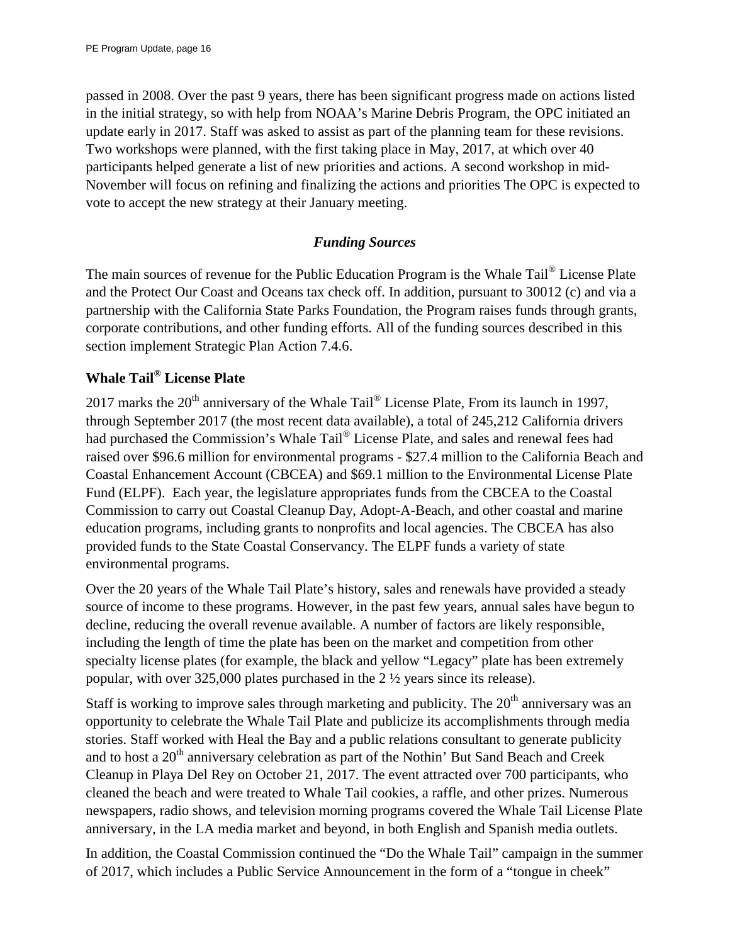passed in 2008. Over the past 9 years, there has been significant progress made on actions listed in the initial strategy, so with help from NOAA's Marine Debris Program, the OPC initiated an update early in 2017. Staff was asked to assist as part of the planning team for these revisions. Two workshops were planned, with the first taking place in May, 2017, at which over 40 participants helped generate a list of new priorities and actions. A second workshop in mid-November will focus on refining and finalizing the actions and priorities The OPC is expected to vote to accept the new strategy at their January meeting.

# *Funding Sources*

The main sources of revenue for the Public Education Program is the Whale Tail® License Plate and the Protect Our Coast and Oceans tax check off. In addition, pursuant to 30012 (c) and via a partnership with the California State Parks Foundation, the Program raises funds through grants, corporate contributions, and other funding efforts. All of the funding sources described in this section implement Strategic Plan Action 7.4.6.

# **[Whale Tail](http://www.ecoplates.com/home.php)® License Plate**

2017 marks the  $20^{th}$  anniversary of the Whale Tail<sup>®</sup> License Plate, From its launch in 1997, through September 2017 (the most recent data available), a total of 245,212 California drivers had purchased the Commission's [Whale Tail](http://www.ecoplates.com/home.php)® License Plate, and sales and renewal fees had raised over \$96.6 million for environmental programs - \$27.4 million to the California Beach and Coastal Enhancement Account (CBCEA) and \$69.1 million to the Environmental License Plate Fund (ELPF). Each year, the legislature appropriates funds from the CBCEA to the Coastal Commission to carry out Coastal Cleanup Day, Adopt-A-Beach, and other coastal and marine education programs, including grants to nonprofits and local agencies. The CBCEA has also provided funds to the State Coastal Conservancy. The ELPF funds a variety of state environmental programs.

Over the 20 years of the Whale Tail Plate's history, sales and renewals have provided a steady source of income to these programs. However, in the past few years, annual sales have begun to decline, reducing the overall revenue available. A number of factors are likely responsible, including the length of time the plate has been on the market and competition from other specialty license plates (for example, the black and yellow "Legacy" plate has been extremely popular, with over 325,000 plates purchased in the 2 ½ years since its release).

Staff is working to improve sales through marketing and publicity. The  $20<sup>th</sup>$  anniversary was an opportunity to celebrate the Whale Tail Plate and publicize its accomplishments through media stories. Staff worked with Heal the Bay and a public relations consultant to generate publicity and to host a 20<sup>th</sup> anniversary celebration as part of the Nothin' But Sand Beach and Creek Cleanup in Playa Del Rey on October 21, 2017. The event attracted over 700 participants, who cleaned the beach and were treated to Whale Tail cookies, a raffle, and other prizes. Numerous newspapers, radio shows, and television morning programs covered the Whale Tail License Plate anniversary, in the LA media market and beyond, in both English and Spanish media outlets.

In addition, the Coastal Commission continued the "Do the Whale Tail" campaign in the summer of 2017, which includes a Public Service Announcement in the form of a "tongue in cheek"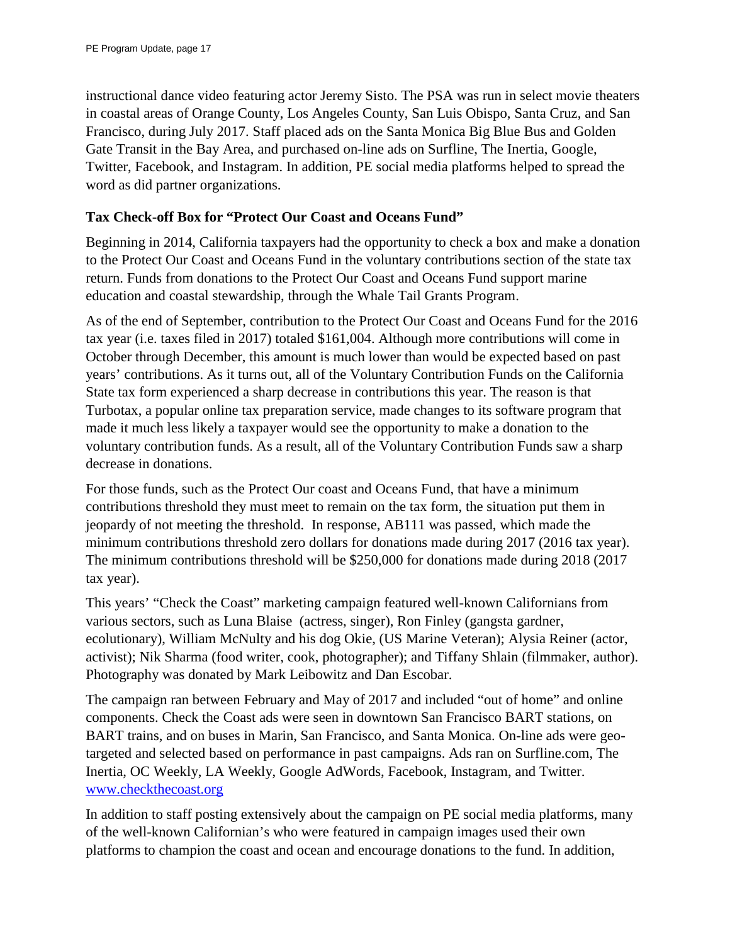instructional dance video featuring actor Jeremy Sisto. The PSA was run in select movie theaters in coastal areas of Orange County, Los Angeles County, San Luis Obispo, Santa Cruz, and San Francisco, during July 2017. Staff placed ads on the Santa Monica Big Blue Bus and Golden Gate Transit in the Bay Area, and purchased on-line ads on Surfline, The Inertia, Google, Twitter, Facebook, and Instagram. In addition, PE social media platforms helped to spread the word as did partner organizations.

#### **Tax Check-off Box for "Protect Our Coast and Oceans Fund"**

Beginning in 2014, California taxpayers had the opportunity to check a box and make a donation to the Protect Our Coast and Oceans Fund in the voluntary contributions section of the state tax return. Funds from donations to the Protect Our Coast and Oceans Fund support marine education and coastal stewardship, through the Whale Tail Grants Program.

As of the end of September, contribution to the Protect Our Coast and Oceans Fund for the 2016 tax year (i.e. taxes filed in 2017) totaled \$161,004. Although more contributions will come in October through December, this amount is much lower than would be expected based on past years' contributions. As it turns out, all of the Voluntary Contribution Funds on the California State tax form experienced a sharp decrease in contributions this year. The reason is that Turbotax, a popular online tax preparation service, made changes to its software program that made it much less likely a taxpayer would see the opportunity to make a donation to the voluntary contribution funds. As a result, all of the Voluntary Contribution Funds saw a sharp decrease in donations.

For those funds, such as the Protect Our coast and Oceans Fund, that have a minimum contributions threshold they must meet to remain on the tax form, the situation put them in jeopardy of not meeting the threshold. In response, AB111 was passed, which made the minimum contributions threshold zero dollars for donations made during 2017 (2016 tax year). The minimum contributions threshold will be \$250,000 for donations made during 2018 (2017 tax year).

This years' ["Check the Coast" marketing campaign](https://www.coastal.ca.gov/publiced/checkthecoast/media.html) featured well-known Californians from various sectors, such as Luna Blaise (actress, singer), Ron Finley (gangsta gardner, ecolutionary), William McNulty and his dog Okie, (US Marine Veteran); Alysia Reiner (actor, activist); Nik Sharma (food writer, cook, photographer); and Tiffany Shlain (filmmaker, author). Photography was donated by Mark Leibowitz and Dan Escobar.

The campaign ran between February and May of 2017 and included "out of home" and online components. Check the Coast ads were seen in downtown San Francisco BART stations, on BART trains, and on buses in Marin, San Francisco, and Santa Monica. On-line ads were geotargeted and selected based on performance in past campaigns. Ads ran on Surfline.com, The Inertia, OC Weekly, LA Weekly, Google AdWords, Facebook, Instagram, and Twitter. [www.checkthecoast.org](http://www.checkthecoast.org/)

In addition to staff posting extensively about the campaign on PE social media platforms, many of the well-known Californian's who were featured in campaign images used their own platforms to champion the coast and ocean and encourage donations to the fund. In addition,